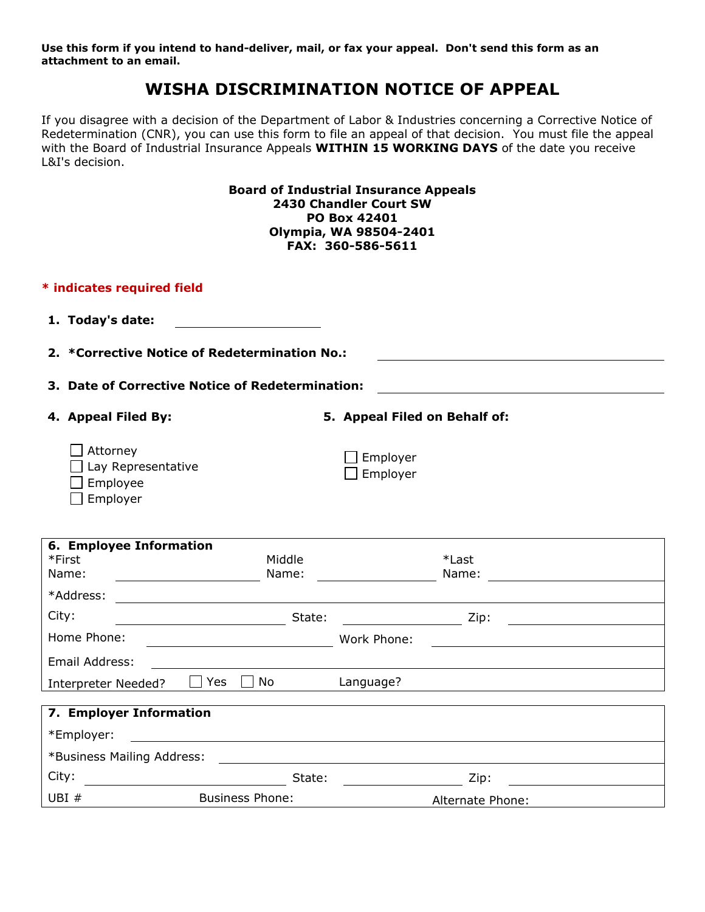**Use this form if you intend to hand-deliver, mail, or fax your appeal. Don't send this form as an attachment to an email.**

# **WISHA DISCRIMINATION NOTICE OF APPEAL**

If you disagree with a decision of the Department of Labor & Industries concerning a Corrective Notice of Redetermination (CNR), you can use this form to file an appeal of that decision. You must file the appeal with the Board of Industrial Insurance Appeals **WITHIN 15 WORKING DAYS** of the date you receive L&I's decision.

| <b>Board of Industrial Insurance Appeals</b><br>2430 Chandler Court SW<br>PO Box 42401<br>Olympia, WA 98504-2401<br>FAX: 360-586-5611 |                        |                                                                                                                 |  |  |  |
|---------------------------------------------------------------------------------------------------------------------------------------|------------------------|-----------------------------------------------------------------------------------------------------------------|--|--|--|
| * indicates required field                                                                                                            |                        |                                                                                                                 |  |  |  |
| 1. Today's date:                                                                                                                      |                        |                                                                                                                 |  |  |  |
| 2. *Corrective Notice of Redetermination No.:                                                                                         |                        |                                                                                                                 |  |  |  |
| 3. Date of Corrective Notice of Redetermination:                                                                                      |                        |                                                                                                                 |  |  |  |
| 4. Appeal Filed By:                                                                                                                   |                        | 5. Appeal Filed on Behalf of:                                                                                   |  |  |  |
| Attorney<br>Lay Representative<br>Employee<br>Employer                                                                                |                        | Employer<br>Employer                                                                                            |  |  |  |
| 6. Employee Information<br>*First<br>Name:                                                                                            | Middle<br>Name:        | *Last<br>Name:<br><u> 1989 - Johann Stein, fransk kanton og f</u>                                               |  |  |  |
| *Address:<br><u> 1980 - Johann Barbara, martxa amerikan per</u>                                                                       |                        |                                                                                                                 |  |  |  |
| City:                                                                                                                                 |                        | in the contract of the contract of the contract of the contract of the contract of the contract of the contract |  |  |  |
| Home Phone:                                                                                                                           |                        | Work Phone:                                                                                                     |  |  |  |
| Email Address:                                                                                                                        |                        |                                                                                                                 |  |  |  |
| No<br>Language?<br>Yes<br>Interpreter Needed?                                                                                         |                        |                                                                                                                 |  |  |  |
| 7. Employer Information                                                                                                               |                        |                                                                                                                 |  |  |  |
| *Employer:<br><u> 1989 - John Stein, Amerikaansk politiker (</u>                                                                      |                        |                                                                                                                 |  |  |  |
| *Business Mailing Address:                                                                                                            |                        |                                                                                                                 |  |  |  |
| City:                                                                                                                                 |                        | in the control of the control of the control of the control of the control of the control of the control of th  |  |  |  |
| UBI #                                                                                                                                 | <b>Business Phone:</b> | Alternate Phone:                                                                                                |  |  |  |